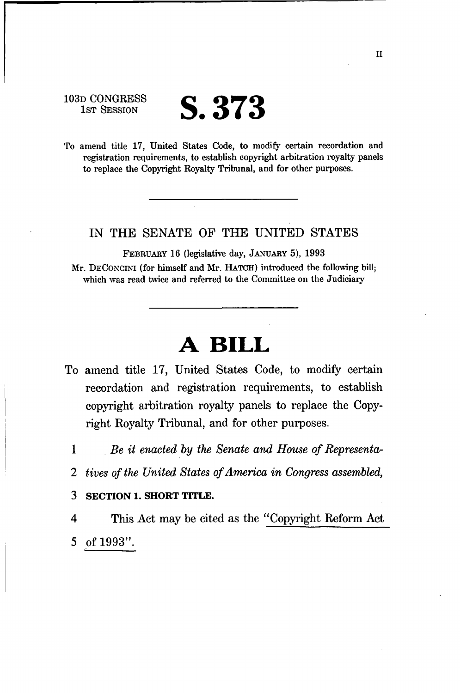103D CONGRESS<br>1st Session

# **S.373**

To amend title 17, United States Code, to modify certain recordation and registration requirements, to establish copyright arbitration royalty panels to replace the Copyright Royalty Tribunal, and for other purposes.

#### IN THE SENATE OF THE UNITED STATES

FEBRUARY 16 (legislative day, JANUARY 5), 1993 Mr. DECONCINI (for himself and Mr. HATCH) introduced the following bill; which was read twice and referred to the Committee on the Judiciary

# **A BILL**

- To amend title 17, United States Code, to modify certain recordation and registration requirements, to establish copyright arbitration royalty panels to replace the Copyright Royalty Tribunal, and for other purposes.
	- 1 *Be it enacted by the Senate and House of Representa-*
	- *2 tives of the United States of America in Congress assembled,*
	- 3 **SECTION 1. SHORT TITLE.**

4 This Act may be cited as the "Copyright Reform Act 5 of 1993".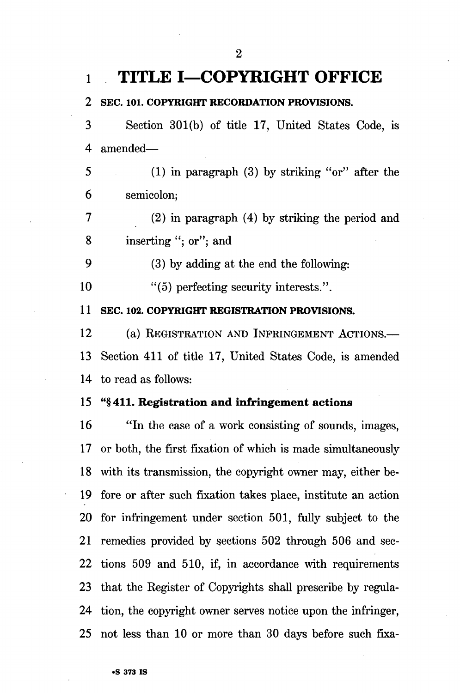### **l TITLE I—COPYRIGHT OFFICE**

**2 SEC. 101. COPYRIGHT RECORDATION PROVISIONS.** 

3 Section 301(b) of title 17, United States Code, is 4 amended—

5 (1) in paragraph (3) by striking "or" after the 6 semicolon;

7 (2) in paragraph (4) by striking the period and 8 inserting "; or"; and

9 (3) by adding at the end the following:

10 "(5) perfecting security interests.".

**11 SEC. 102. COPYRIGHT REGISTRATION PROVISIONS.** 

12 (a) REGISTRATION AND INFRINGEMENT ACTIONS.— 13 Section 411 of title 17, United States Code, is amended 14 to read as follows:

#### 15 "§411. **Registration and infringement actions**

16 "In the case of a work consisting of sounds, images, 17 or both, the first fixation of which is made simultaneously 18 with its transmission, the copyright owner may, either be-19 fore or after such fixation takes place, institute an action 20 for infringement under section 501, fully subject to the 21 remedies provided by sections 502 through 506 and sec-22 tions 509 and 510, if, in accordance with requirements 23 that the Register of Copyrights shall prescribe by regula-24 tion, the copyright owner serves notice upon the infringer, 25 not less than 10 or more than 30 days before such fixa-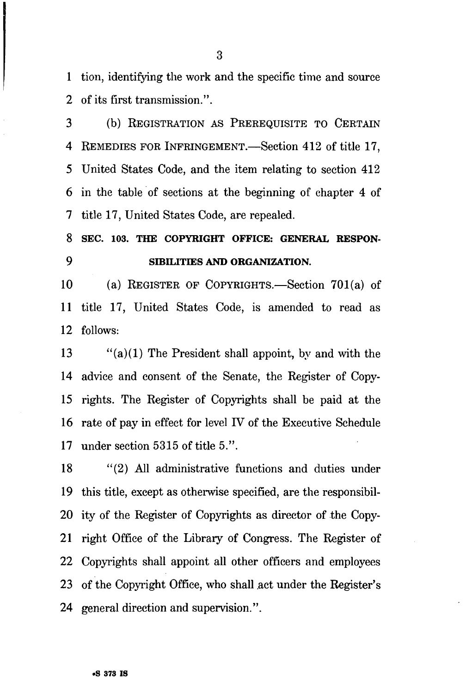1 tion, identifying the work and the specific time and source 2 of its first transmission.".

3 (b) REGISTRATION AS PREREQUISITE TO CERTAIN 4 REMEDIES FOR INFRINGEMENT.—Section 412 of title 17, 5 United States Code, and the item relating to section 412 6 in the table of sections at the beginning of chapter 4 of 7 title 17, United States Code, are repealed.

## **8 SEC. 103. THE COPYRIGHT OFFICE: GENERAL RESPON-9 SIBHJTIES AND ORGANIZATION.**

10 (a) REGISTER OF COPYRIGHTS.—Section 701(a) of 11 title 17, United States Code, is amended to read as 12 follows:

13 "(a)(1) The President shall appoint, by and with the 14 advice and consent of the Senate, the Register of Copy-15 rights. The Register of Copyrights shall be paid at the 16 rate of pay in effect for level IV of the Executive Schedule 17 under section 5315 of title 5.".

18 "(2) All administrative functions and duties under 19 this title, except as otherwise specified, are the responsibil-20 ity of the Register of Copyrights as director of the Copy-21 right Office of the Library of Congress. The Register of 22 Copyrights shall appoint all other officers and employees 23 of the Copyright Office, who shall act under the Register's 24 general direction and supervision.".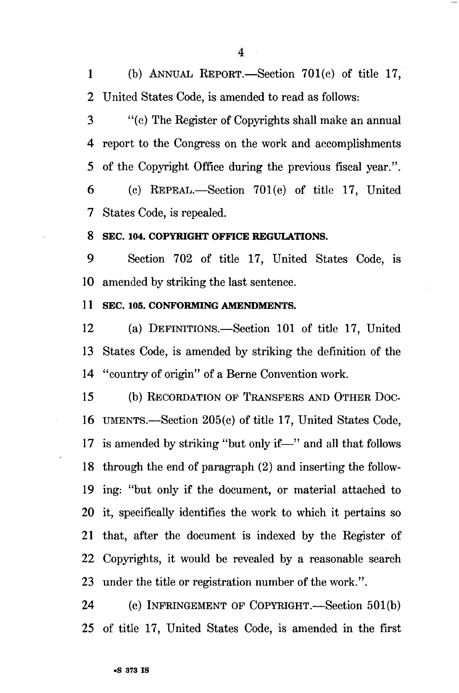1 (b) ANNUAL REPORT.—Section 701(c) of title 17, 2 United States Code, is amended to read as follows:

3 "(c) The Register of Copyrights shall make an annual 4 report to the Congress on the work and accomplishments 5 of the Copyright Office during the previous fiscal year.".

6 (c) REPEAL.—Section 701(e) of title 17, United 7 States Code, is repealed.

#### **8 SEC. 104. COPYRIGHT OFFICE REGULATIONS.**

9 Section 702 of title 17, United States Code, is 10 amended by striking the last sentence.

#### **11 SEC. 105. CONFORMING AMENDMENTS.**

12 (a) DEFINITIONS.—Section 101 of title 17, United 13 States Code, is amended by striking the definition of the 14 "country of origin" of a Berne Convention work.

15 (b) RECORDATION OF TRANSFERS AND OTHER DOC-16 UMENTS.—Section 205(c) of title 17, United States Code, 17 is amended by striking "but only if—" and all that follows 18 through the end of paragraph (2) and inserting the follow-19 ing: "but only if the document, or material attached to 20 it, specifically identifies the work to which it pertains so 21 that, after the document is indexed by the Register of 22 Copyrights, it would be revealed by a reasonable search 23 under the title or registration number of the work.".

24 (c) INFRINGEMENT OF COPYRIGHT.—Section 501(b) 25 of title 17, United States Code, is amended in the first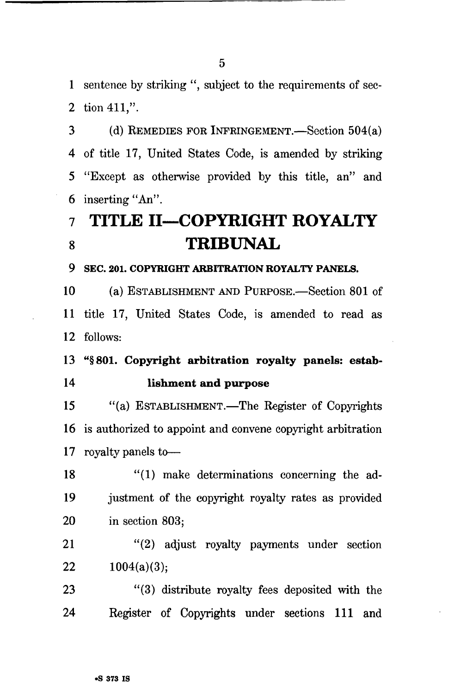1 sentence by striking ", subject to the requirements of sec-2 tion 411,".

3 (d) REMEDIES FOR INFRINGEMENT.—Section 504(a) 4 of title 17, United States Code, is amended by striking 5 "Except as otherwise provided by this title, an" and 6 inserting "An".

# **7 TITLE II—COPYRIGHT ROYALTY 8 TRIBUNAL**

**9 SEC. 201. COPYRIGHT ARBITRATION ROYALTY PANELS.** 

10 (a) ESTABLISHMENT AND PURPOSE.—Section 801 of 11 title 17, United States Code, is amended to read as 12 follows:

### 13 "§801. Copyright arbitration royalty panels: estab-14 lishment and purpose

15 "(a) ESTABLISHMENT.—The Register of Copyrights 16 is authorized to appoint and convene copyright arbitration 17 royalty panels to—

18 "(1) make determinations concerning the ad-19 justment of the copyright royalty rates as provided 20 in section 803;

21 "(2) adjust royalty payments under section 22  $1004(a)(3)$ ;

23 "(3) distribute royalty fees deposited with the 24 Register of Copyrights under sections 111 and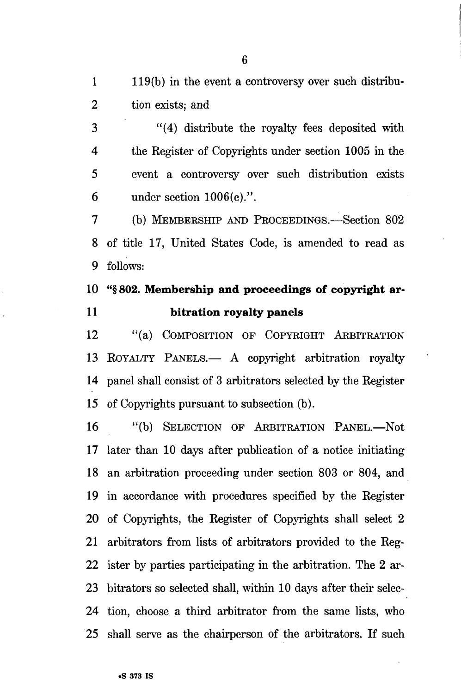2 tion exists; and

3 "(4) distribute the royalty fees deposited with 4 the Register of Copyrights under section 1005 in the 5 event a controversy over such distribution exists 6 under section 1006(c).".

7 (b) MEMBERSHIP AND PROCEEDINGS.—Section 802 8 of title 17, United States Code, is amended to read as 9 follows:

# 10 "§ **802. Membership and proceedings of copyright ar-11 bitration royalty panels**

12 "(a) COMPOSITION OF COPYRIGHT ARBITRATION 13 ROYALTY PANELS.— A copyright arbitration royalty 14 panel shall consist of 3 arbitrators selected by the Register 15 of Copyrights pursuant to subsection (b).

16 "(b) SELECTION OF ARBITRATION PANEL.—Not 17 later than 10 days after publication of a notice initiating 18 an arbitration proceeding under section 803 or 804, and 19 in accordance with procedures specified by the Register 20 of Copyrights, the Register of Copyrights shall select 2 21 arbitrators from lists of arbitrators provided to the Reg-22 ister by parties participating in the arbitration. The 2 ar-23 bitrators so selected shall, within 10 days after their selec-24 tion, choose a third arbitrator from the same lists, who 25 shall serve as the chairperson of the arbitrators. If such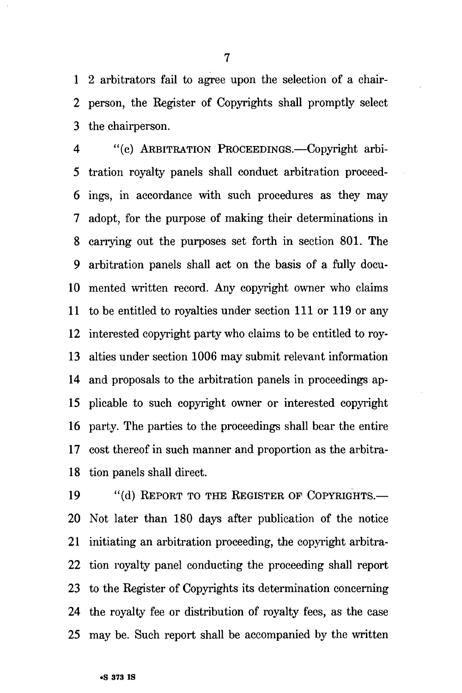1 2 arbitrators fail to agree upon the selection of a chair-2 person, the Register of Copyrights shall promptly select 3 the chairperson.

4 "(c) ARBITRATION PROCEEDINGS.—Copyright arbi-5 tration royalty panels shall conduct arbitration proceed-6 ings, in accordance with such procedures as they may 7 adopt, for the purpose of making their determinations in 8 carrying out the purposes set forth in section 801. The 9 arbitration panels shall act on the basis of a fully docu-10 mented written record. Any copyright owner who claims 11 to be entitled to royalties under section 111 or 119 or any 12 interested copyright party who claims to be entitled to roy-13 alties under section 1006 may submit relevant information 14 and proposals to the arbitration panels in proceedings ap-15 plicable to such copyright owner or interested copyright 16 party. The parties to the proceedings shall bear the entire 17 cost thereof in such manner and proportion as the arbitra-18 tion panels shall direct.

19 "(d) REPORT TO THE REGISTER OF COPYRIGHTS.-20 Not later than 180 days after publication of the notice 21 initiating an arbitration proceeding, the copyright arbitra-22 tion royalty panel conducting the proceeding shall report 23 to the Register of Copyrights its determination concerning 24 the royalty fee or distribution of royalty fees, as the case 25 may be. Such report shall be accompanied by the written

7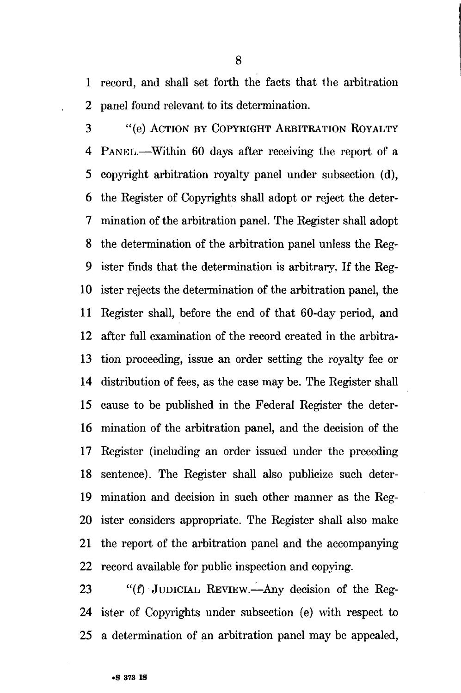1 record, and shall set forth the facts that the arbitration 2 panel found relevant to its determination.

3 "(e) ACTION BY COPYRIGHT ARBITRATION ROYALTY 4 PANEL.—Within 60 days after receiving the report of a 5 copyright arbitration royalty panel under subsection (d), 6 the Register of Copyrights shall adopt or reject the deter-7 mination of the arbitration panel. The Register shall adopt 8 the determination of the arbitration panel unless the Reg-9 ister finds that the determination is arbitrary. If the Reg-10 ister rejects the determination of the arbitration panel, the 11 Register shall, before the end of that 60-day period, and 12 after fall examination of the record created in the arbitra-13 tion proceeding, issue an order setting the royalty fee or 14 distribution of fees, as the case may be. The Register shall 15 cause to be published in the Federal Register the deter-16 mination of the arbitration panel, and the decision of the 17 Register (including an order issued under the preceding 18 sentence). The Register shall also publicize such deter-19 mination and decision in such other manner as the Reg-20 ister considers appropriate. The Register shall also make 21 the report of the arbitration panel and the accompanying 22 record available for public inspection and copying.

23 "(f) JUDICIAL REVIEW.—Any decision of the Reg-24 ister of Copyrights under subsection (e) with respect to 25 a determination of an arbitration panel may be appealed,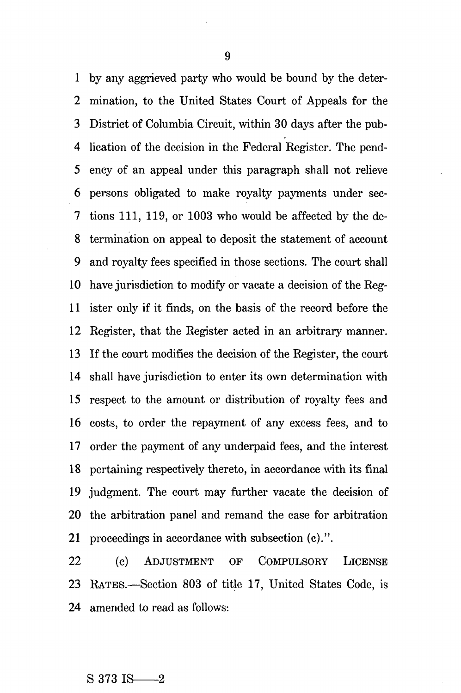1 by any aggrieved party who would be bound by the deter-2 mination, to the United States Court of Appeals for the 3 District of Columbia Circuit, within 30 days after the pub-4 lication of the decision in the Federal Register. The pend-5 ency of an appeal under this paragraph shall not relieve 6 persons obligated to make royalty payments under sec-7 tions 111, 119, or 1003 who would be affected by the de-8 termination on appeal to deposit the statement of account 9 and royalty fees specified in those sections. The court shall 10 have jurisdiction to modify or vacate a decision of the Reg-11 ister only if it finds, on the basis of the record before the 12 Register, that the Register acted in an arbitrary manner. 13 If the court modifies the decision of the Register, the court 14 shall have jurisdiction to enter its own determination with 15 respect to the amount or distribution of royalty fees and 16 costs, to order the repayment of any excess fees, and to 17 order the payment of any underpaid fees, and the interest 18 pertaining respectively thereto, in accordance with its final 19 judgment. The court may further vacate the decision of 20 the arbitration panel and remand the case for arbitration 21 proceedings in accordance with subsection (c).".

22 (c) ADJUSTMENT OF COMPULSORY LICENSE 23 RATES.—Section 803 of title 17, United States Code, is 24 amended to read as follows:

#### $S$  373 IS  $-2$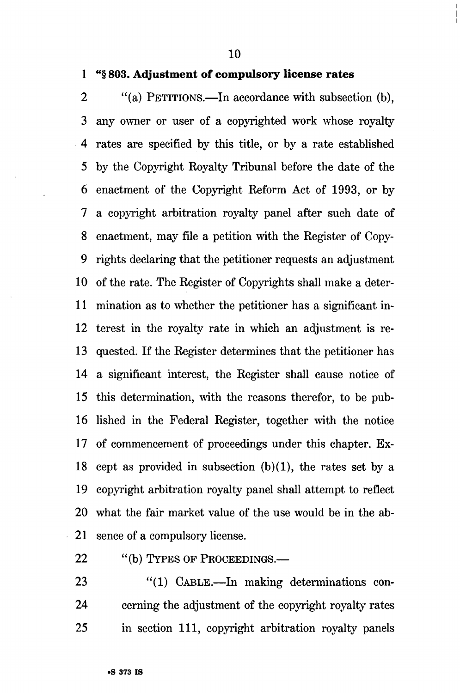**10** 

#### **1 "§ 803. Adjustment of compulsory license rates**

2 "(a) PETITIONS.—In accordance with subsection (b), 3 any owner or user of a copyrighted work whose royalty 4 rates are specified by this title, or by a rate established 5 by the Copyright Royalty Tribunal before the date of the 6 enactment of the Copyright Reform Act of 1993, or by 7 a copyright arbitration royalty panel after such date of 8 enactment, may file a petition with the Register of Copy-9 rights declaring that the petitioner requests an adjustment 10 of the rate. The Register of Copyrights shall make a deter-11 mination as to whether the petitioner has a significant in-12 terest in the royalty rate in which an adjustment is re-13 quested. If the Register determines that the petitioner has 14 a significant interest, the Register shall cause notice of 15 this determination, with the reasons therefor, to be pub-16 lished in the Federal Register, together with the notice 17 of commencement of proceedings under this chapter. Ex-18 cept as provided in subsection  $(b)(1)$ , the rates set by a 19 copyright arbitration royalty panel shall attempt to reflect 20 what the fair market value of the use would be in the ab-21 sence of a compulsory license.

22 "(b) TYPES OF PROCEEDINGS.—

23 "(1) CABLE.—In making determinations con-24 cerning the adjustment of the copyright royalty rates 25 in section 111, copyright arbitration royalty panels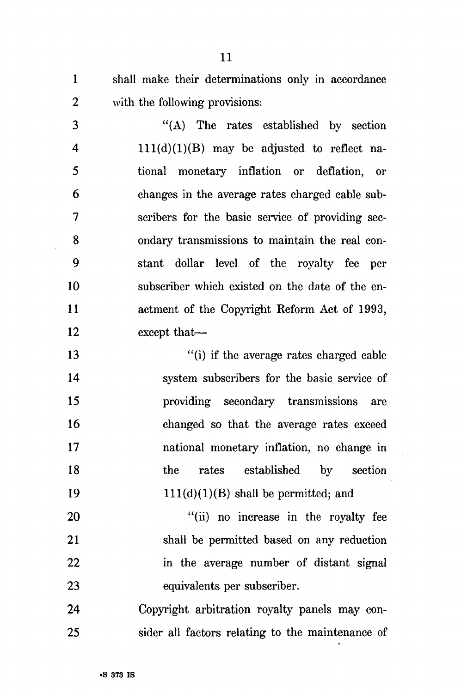1 shall make their determinations only in accordance 2 with the following provisions:

3 "(A) The rates established by section 4 111(d)(1)(B) may be adjusted to reflect na-5 tional monetary inflation or deflation, or 6 changes in the average rates charged cable sub-7 scribers for the basic service of providing sec-8 ondary transmissions to maintain the real con-9 stant dollar level of the royalty fee per 10 subscriber which existed on the date of the en-11 actment of the Copyright Reform Act of 1993, 12 except that—

13 "(i) if the average rates charged cable 14 system subscribers for the basic service of 15 providing secondary transmissions are 16 changed so that the average rates exceed 17 national monetary inflation, no change in 18 the rates established by section 19  $111(d)(1)(B)$  shall be permitted; and

20 "(ii) no increase in the royalty fee 21 shall be permitted based on any reduction 22 in the average number of distant signal 23 equivalents per subscriber.

24 Copyright arbitration royalty panels may con-25 sider all factors relating to the maintenance of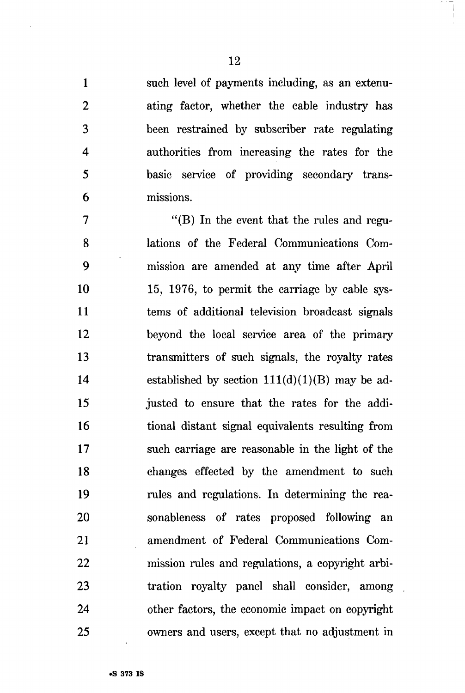1 such level of payments including, as an extenu-2 ating factor, whether the cable industry has 3 been restrained by subscriber rate regulating 4 authorities from increasing the rates for the 5 basic service of providing secondary trans-6 missions.

7 "(B) In the event that the rules and regu-8 lations of the Federal Communications Com-9 mission are amended at any time after April 10 15, 1976, to permit the carriage by cable sys-11 terns of additional television broadcast signals 12 beyond the local service area of the primary 13 transmitters of such signals, the royalty rates 14 established by section  $111(d)(1)(B)$  may be ad-15 justed to ensure that the rates for the addi-16 tional distant signal equivalents resulting from 17 such carriage are reasonable in the light of the 18 changes effected by the amendment to such 19 rules and regulations. In determining the rea-20 sonableness of rates proposed following an 21 amendment of Federal Communications Com-22 mission rules and regulations, a copyright arbi-23 tration royalty panel shall consider, among 24 other factors, the economic impact on copyright 25 owners and users, except that no adjustment in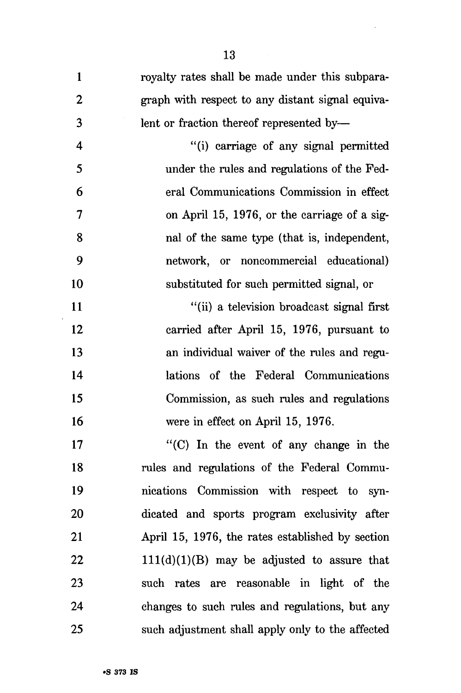| $\mathbf{1}$     | royalty rates shall be made under this subpara-  |
|------------------|--------------------------------------------------|
| $\boldsymbol{2}$ | graph with respect to any distant signal equiva- |
| 3                | lent or fraction thereof represented by—         |
| 4                | "(i) carriage of any signal permitted            |
| 5                | under the rules and regulations of the Fed-      |
| 6                | eral Communications Commission in effect         |
| 7                | on April 15, 1976, or the carriage of a sig-     |
| 8                | nal of the same type (that is, independent,      |
| 9                | network, or noncommercial educational)           |
| 10               | substituted for such permitted signal, or        |
| 11               | "(ii) a television broadcast signal first        |
| 12               | carried after April 15, 1976, pursuant to        |
| 13               | an individual waiver of the rules and regu-      |
| 14               | lations of the Federal Communications            |
| 15               | Commission, as such rules and regulations        |
| 16               | were in effect on April 15, 1976.                |
| 17               | " $(C)$ In the event of any change in the        |
| 18               | rules and regulations of the Federal Commu-      |
| 19               | nications Commission with respect to syn-        |
| 20               | dicated and sports program exclusivity after     |
| 21               | April 15, 1976, the rates established by section |
| 22               | $111(d)(1)(B)$ may be adjusted to assure that    |
| 23               | such rates are reasonable in light of the        |
| 24               | changes to such rules and regulations, but any   |
| 25               | such adjustment shall apply only to the affected |

 $\mathcal{A}$ 

 $\langle \rangle$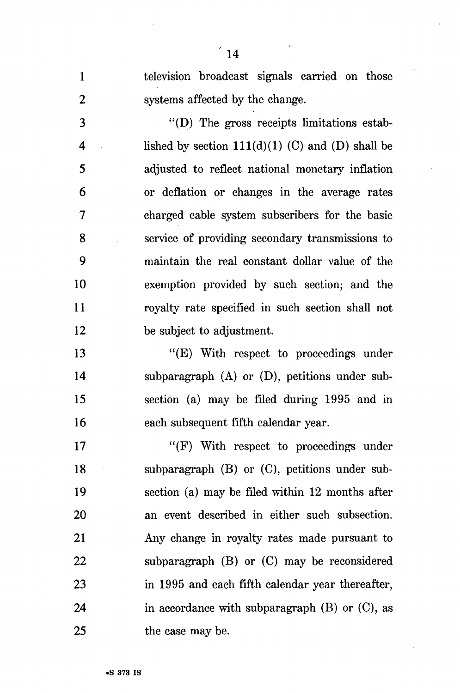1 television broadcast signals carried on those 2 systems affected by the change. 3 "(D) The gross receipts limitations estab-4 lished by section  $111(d)(1)$  (C) and (D) shall be 5 adjusted to reflect national monetary inflation 6 or deflation or changes in the average rates 7 charged cable system subscribers for the basic 8 service of providing secondary transmissions to 9 maintain the real constant dollar value of the 10 exemption provided by such section; and the 11 royalty rate specified in such section shall not 12 be subject to adjustment. 13 "(E) With respect to proceedings under 14 subparagraph (A) or (D), petitions under sub-15 section (a) may be filed during 1995 and in 16 each subsequent fifth calendar year. 17 "(F) With respect to proceedings under 18 subparagraph (B) or (C), petitions under sub-19 section (a) may be filed within 12 months after 20 an event described in either such subsection. 21 Any change in royalty rates made pursuant to 22 subparagraph (B) or (C) may be reconsidered 23 in 1995 and each fifth calendar year thereafter, 24 in accordance with subparagraph  $(B)$  or  $(C)$ , as 25 the case may be.

 $\degree$ 14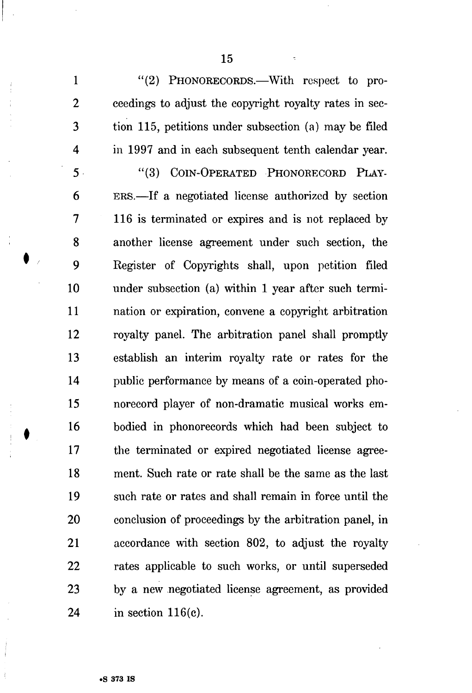1 "(2) PHONORECORDS.—With respect to pro-2 ceedings to adjust the copyright royalty rates in sec-3 tion 115, petitions under subsection (a) may be filed 4 in 1997 and in each subsequent tenth calendar year.

5 "(3) COIN-OPERATED PHONORECORD PLAY-6 ERS.—If a negotiated license authorized by section 7 116 is terminated or expires and is not replaced by 8 another license agreement under such section, the 9 Register of Copyrights shall, upon petition filed 10 under subsection (a) within 1 year after such termi-11 nation or expiration, convene a copyright arbitration 12 royalty panel. The arbitration panel shall promptly 13 establish an interim royalty rate or rates for the 14 public performance by means of a coin-operated pho-15 norecord player of non-dramatic musical works em-16 bodied in phonorecords which had been subject to 17 the terminated or expired negotiated license agree-18 ment. Such rate or rate shall be the same as the last 19 such rate or rates and shall remain in force until the 20 conclusion of proceedings by the arbitration panel, in 21 accordance with section 802, to adjust the royalty 22 rates applicable to such works, or until superseded 23 by a new negotiated license agreement, as provided 24 in section 116(c).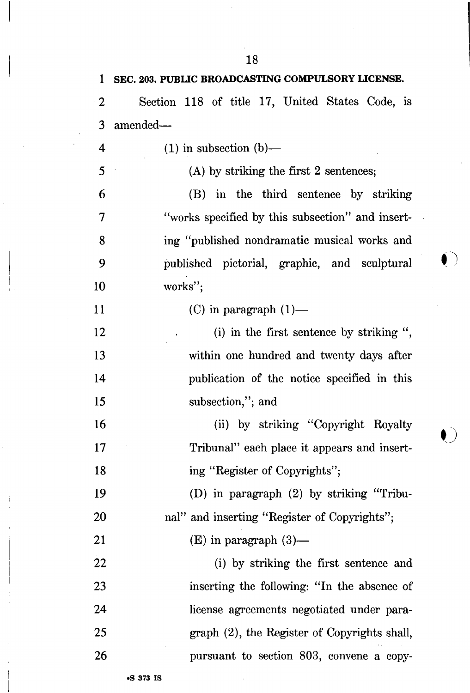| 1         | SEC. 203. PUBLIC BROADCASTING COMPULSORY LICENSE. |
|-----------|---------------------------------------------------|
| 2         | Section 118 of title 17, United States Code, is   |
| 3         | amended-                                          |
| 4         | $(1)$ in subsection $(b)$ —                       |
| 5         | $(A)$ by striking the first 2 sentences;          |
| 6         | (B) in the third sentence by striking             |
| 7         | "works specified by this subsection" and insert-  |
| 8         | ing "published nondramatic musical works and      |
| 9         | published pictorial, graphic, and sculptural      |
| 10        | works";                                           |
| <b>11</b> | $(C)$ in paragraph $(1)$ —                        |
| 12        | (i) in the first sentence by striking ",          |
| 13        | within one hundred and twenty days after          |
| 14        | publication of the notice specified in this       |
| 15        | subsection,"; and                                 |
| 16        | (ii) by striking "Copyright Royalty               |
| 17        | Tribunal" each place it appears and insert-       |
| 18        | ing "Register of Copyrights";                     |
| 19        | (D) in paragraph (2) by striking "Tribu-          |
| 20        | nal" and inserting "Register of Copyrights";      |
| 21        | $(E)$ in paragraph $(3)$ —                        |
| 22        | (i) by striking the first sentence and            |
| 23        | inserting the following: "In the absence of       |
| 24        | license agreements negotiated under para-         |
| 25        | graph (2), the Register of Copyrights shall,      |
| 26        | pursuant to section 803, convene a copy-          |
|           |                                                   |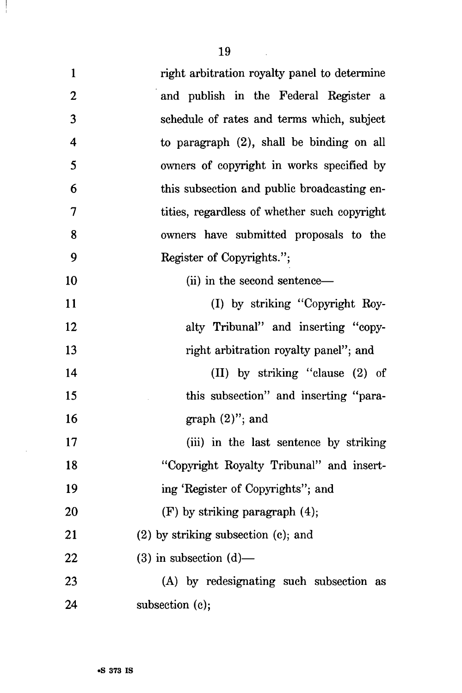$\frac{1}{2}$ 

 $\sim$ 

| $\mathbf{1}$             | right arbitration royalty panel to determine |
|--------------------------|----------------------------------------------|
| $\boldsymbol{2}$         | and publish in the Federal Register a        |
| 3                        | schedule of rates and terms which, subject   |
| 4                        | to paragraph $(2)$ , shall be binding on all |
| 5                        | owners of copyright in works specified by    |
| 6                        | this subsection and public broadcasting en-  |
| $\overline{\mathcal{L}}$ | tities, regardless of whether such copyright |
| 8                        | owners have submitted proposals to the       |
| 9                        | Register of Copyrights.";                    |
| 10                       | (ii) in the second sentence—                 |
| 11                       | (I) by striking "Copyright Roy-              |
| 12                       | alty Tribunal" and inserting "copy-          |
| 13                       | right arbitration royalty panel"; and        |
| 14                       | (II) by striking "clause (2) of              |
| 15                       | this subsection" and inserting "para-        |
| 16                       | graph $(2)$ "; and                           |
| 17                       | (iii) in the last sentence by striking       |
| 18                       | "Copyright Royalty Tribunal" and insert-     |
| 19                       | ing 'Register of Copyrights''; and           |
| <b>20</b>                | $(F)$ by striking paragraph $(4)$ ;          |
| 21                       | $(2)$ by striking subsection $(c)$ ; and     |
| 22                       | $(3)$ in subsection $(d)$ —                  |
| 23                       | (A) by redesignating such subsection as      |
| 24                       | subsection (c);                              |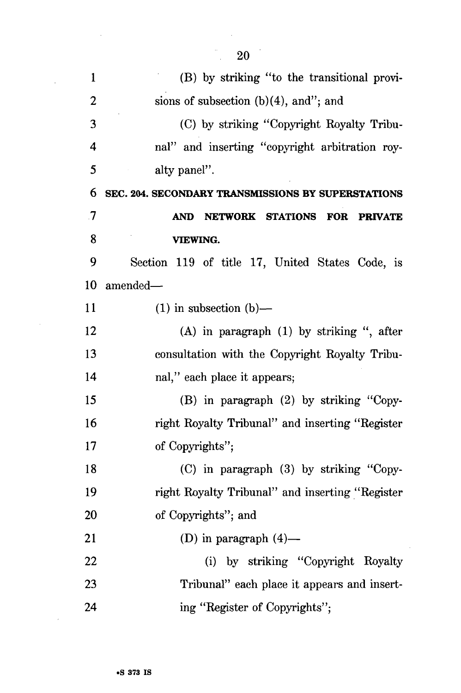| $\mathbf{1}$ | (B) by striking "to the transitional provi-          |
|--------------|------------------------------------------------------|
| 2            | sions of subsection $(b)(4)$ , and"; and             |
| 3            | (C) by striking "Copyright Royalty Tribu-            |
| 4            | nal" and inserting "copyright arbitration roy-       |
| 5            | alty panel".                                         |
| 6            | SEC. 204. SECONDARY TRANSMISSIONS BY SUPERSTATIONS   |
| .7           | NETWORK STATIONS FOR<br><b>AND</b><br><b>PRIVATE</b> |
| 8            | <b>VIEWING.</b>                                      |
| 9            | Section 119 of title 17, United States Code, is      |
| 10           | amended—                                             |
| 11           | $(1)$ in subsection $(b)$ —                          |
| 12           | $(A)$ in paragraph $(1)$ by striking ", after        |
| 13           | consultation with the Copyright Royalty Tribu-       |
| 14           | nal," each place it appears;                         |
| 15           | (B) in paragraph (2) by striking "Copy-              |
| 16           | right Royalty Tribunal" and inserting "Register      |
| 17           | of Copyrights";                                      |
| 18           | (C) in paragraph (3) by striking "Copy-              |
| 19           | right Royalty Tribunal" and inserting "Register      |
| 20           | of Copyrights"; and                                  |
| 21           | (D) in paragraph $(4)$ —                             |
| 22           | (i) by striking "Copyright Royalty                   |
| 23           | Tribunal" each place it appears and insert-          |
| 24           | ing "Register of Copyrights";                        |

20

 $\ddot{\phantom{a}}$ 

 $\sim$   $\sim$ 

 $\bar{\beta}$ 

 $\sim$ 

 $\mathcal{L}(\mathcal{A})$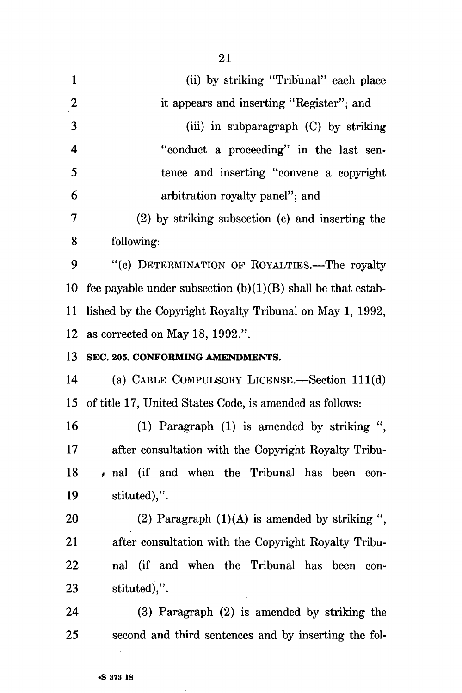| $\mathbf{1}$     | (ii) by striking "Tribunal" each place                        |
|------------------|---------------------------------------------------------------|
| $\boldsymbol{2}$ | it appears and inserting "Register"; and                      |
| 3                | (iii) in subparagraph (C) by striking                         |
| $\overline{4}$   | "conduct a proceeding" in the last sen-                       |
| 5                | tence and inserting "convene a copyright                      |
| 6                | arbitration royalty panel"; and                               |
| 7                | (2) by striking subsection (c) and inserting the              |
| 8                | following:                                                    |
| 9                | "(c) DETERMINATION OF ROYALTIES.-The royalty                  |
| $10-10$          | fee payable under subsection $(b)(1)(B)$ shall be that estab- |
| 11               | lished by the Copyright Royalty Tribunal on May 1, 1992,      |
| 12               | as corrected on May 18, 1992.".                               |
| 13               | SEC. 205. CONFORMING AMENDMENTS.                              |
| 14               | (a) CABLE COMPULSORY LICENSE.—Section 111(d)                  |
| 15               | of title 17, United States Code, is amended as follows:       |
| 16               | (1) Paragraph (1) is amended by striking ",                   |
| 17               | after consultation with the Copyright Royalty Tribu-          |
| 18               | , nal (if and when the Tribunal has been<br>con-              |
| 19               | stituted),".                                                  |
| <b>20</b>        | (2) Paragraph $(1)(A)$ is amended by striking ",              |
| 21               | after consultation with the Copyright Royalty Tribu-          |
| 22               | nal (if and when the Tribunal has been<br>con-                |
| 23               | stituted),".                                                  |
| 24               | (3) Paragraph (2) is amended by striking the                  |
| 25               | second and third sentences and by inserting the fol-          |

21

 $\Delta$ 

 $\sim 10^{11}$  km  $^{-1}$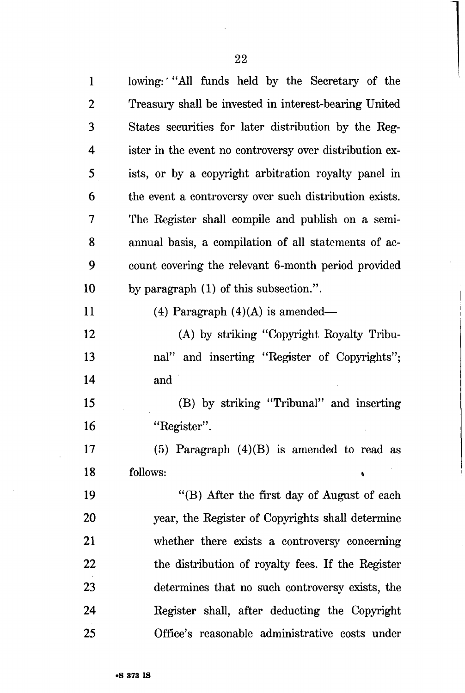| $\mathbf 1$    | lowing: "All funds held by the Secretary of the         |
|----------------|---------------------------------------------------------|
| $\overline{2}$ | Treasury shall be invested in interest-bearing United   |
| 3              | States securities for later distribution by the Reg-    |
| 4              | ister in the event no controversy over distribution ex- |
| 5              | ists, or by a copyright arbitration royalty panel in    |
| 6              | the event a controversy over such distribution exists.  |
| 7              | The Register shall compile and publish on a semi-       |
| 8              | annual basis, a compilation of all statements of ac-    |
| 9              | count covering the relevant 6-month period provided     |
| 10             | by paragraph (1) of this subsection.".                  |
| 11             | (4) Paragraph $(4)(A)$ is amended—                      |
| 12             | (A) by striking "Copyright Royalty Tribu-               |
| 13             | nal" and inserting "Register of Copyrights";            |
| 14             | and                                                     |
| 15             | (B) by striking "Tribunal" and inserting                |
| 16             | "Register".                                             |
| 17             | (5) Paragraph $(4)(B)$ is amended to read as            |
| 18             | follows:<br>¢                                           |
| 19             | "(B) After the first day of August of each              |
| 20             | year, the Register of Copyrights shall determine        |
| 21             | whether there exists a controversy concerning           |
| 22             | the distribution of royalty fees. If the Register       |
| 23             | determines that no such controversy exists, the         |
| 24             | Register shall, after deducting the Copyright           |
| 25             | Office's reasonable administrative costs under          |

 $\ddot{\phantom{a}}$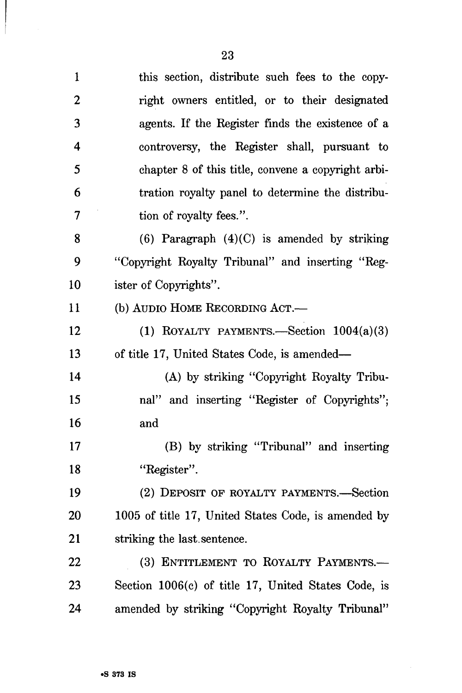| $\mathbf{1}$     | this section, distribute such fees to the copy-     |
|------------------|-----------------------------------------------------|
| $\boldsymbol{2}$ | right owners entitled, or to their designated       |
| 3                | agents. If the Register finds the existence of a    |
| 4                | controversy, the Register shall, pursuant to        |
| 5                | chapter 8 of this title, convene a copyright arbi-  |
| 6                | tration royalty panel to determine the distribu-    |
| 7                | tion of royalty fees.".                             |
| 8                | $(6)$ Paragraph $(4)(C)$ is amended by striking     |
| 9                | "Copyright Royalty Tribunal" and inserting "Reg-    |
| 10               | ister of Copyrights".                               |
| 11               | (b) AUDIO HOME RECORDING ACT.-                      |
| 12               | (1) ROYALTY PAYMENTS.—Section $1004(a)(3)$          |
| 13               | of title 17, United States Code, is amended—        |
| 14               | (A) by striking "Copyright Royalty Tribu-           |
| 15               | nal" and inserting "Register of Copyrights";        |
| 16               | and                                                 |
| 17               | (B) by striking "Tribunal" and inserting            |
| 18               | "Register".                                         |
| 19               | (2) DEPOSIT OF ROYALTY PAYMENTS.—Section            |
| <b>20</b>        | 1005 of title 17, United States Code, is amended by |
| 21               | striking the last sentence.                         |
| 22               | (3) ENTITLEMENT TO ROYALTY PAYMENTS.-               |
| 23               | Section 1006(c) of title 17, United States Code, is |
| 24               | amended by striking "Copyright Royalty Tribunal"    |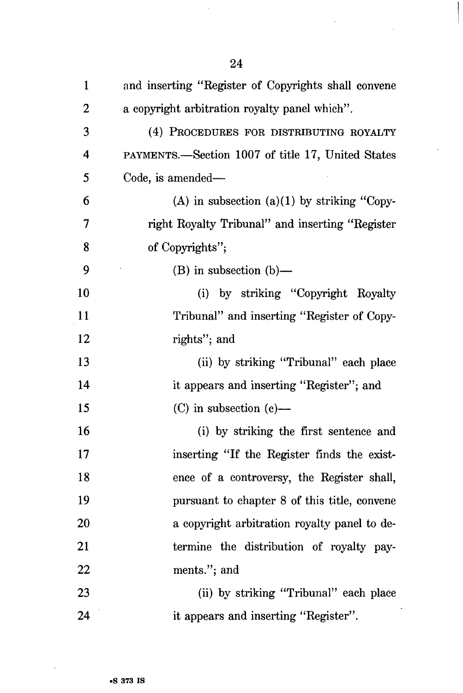| $\mathbf{1}$            | and inserting "Register of Copyrights shall convene |
|-------------------------|-----------------------------------------------------|
| $\boldsymbol{2}$        | a copyright arbitration royalty panel which".       |
| 3                       | (4) PROCEDURES FOR DISTRIBUTING ROYALTY             |
| $\overline{\mathbf{4}}$ | PAYMENTS.—Section 1007 of title 17, United States   |
| 5                       | Code, is amended—                                   |
| 6                       | (A) in subsection (a)(1) by striking "Copy-         |
| 7                       | right Royalty Tribunal" and inserting "Register     |
| 8                       | of Copyrights";                                     |
| 9                       | $(B)$ in subsection $(b)$ —                         |
| 10                      | (i) by striking "Copyright Royalty"                 |
| 11                      | Tribunal" and inserting "Register of Copy-          |
| 12                      | rights"; and                                        |
| 13                      | (ii) by striking "Tribunal" each place              |
| 14                      | it appears and inserting "Register"; and            |
| 15                      | $(C)$ in subsection $(e)$ —                         |
| 16                      | (i) by striking the first sentence and              |
| 17                      | inserting "If the Register finds the exist-         |
| 18                      | ence of a controversy, the Register shall,          |
| 19                      | pursuant to chapter 8 of this title, convene        |
| 20                      | a copyright arbitration royalty panel to de-        |
| 21                      | termine the distribution of royalty pay-            |
| 22                      | ments."; and                                        |
| 23                      | (ii) by striking "Tribunal" each place              |
| 24                      | it appears and inserting "Register".                |

 $\ddot{\phantom{0}}$ 

 $\ddot{\phantom{a}}$ 

 $\sim$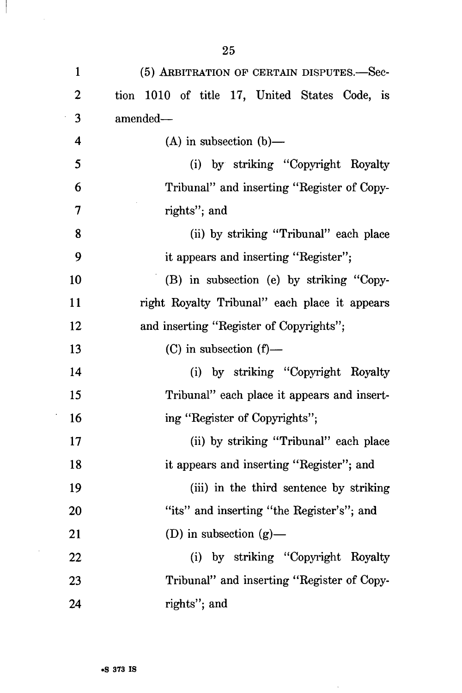| $\mathbf{1}$     | (5) ARBITRATION OF CERTAIN DISPUTES.-Sec-     |
|------------------|-----------------------------------------------|
| $\boldsymbol{2}$ | tion 1010 of title 17, United States Code, is |
| 3                | amended—                                      |
| 4                | (A) in subsection $(b)$ —                     |
| 5                | (i) by striking "Copyright Royalty            |
| 6                | Tribunal" and inserting "Register of Copy-    |
| $\overline{7}$   | rights"; and                                  |
| 8                | (ii) by striking "Tribunal" each place        |
| 9                | it appears and inserting "Register";          |
| 10               | (B) in subsection (e) by striking "Copy-      |
| <b>11</b>        | right Royalty Tribunal" each place it appears |
| 12               | and inserting "Register of Copyrights";       |
| 13               | $(C)$ in subsection $(f)$ —                   |
| 14               | (i) by striking "Copyright Royalty            |
| 15               | Tribunal" each place it appears and insert-   |
| 16               | ing "Register of Copyrights";                 |
| 17               | (ii) by striking "Tribunal" each place        |
| 18               | it appears and inserting "Register"; and      |
| 19               | (iii) in the third sentence by striking       |
| 20               | "its" and inserting "the Register's"; and     |
| 21               | (D) in subsection $(g)$ —                     |
| 22               | (i) by striking "Copyright Royalty            |
| 23               | Tribunal" and inserting "Register of Copy-    |
| 24               | rights"; and                                  |

 $\hat{\mathcal{L}}$ 

 $\overline{\phantom{a}}$ 

 $\bar{\mathcal{A}}$ 

 $\ddot{\phantom{a}}$ 

 $\mathbb{R}^2$ 

 $\sim$